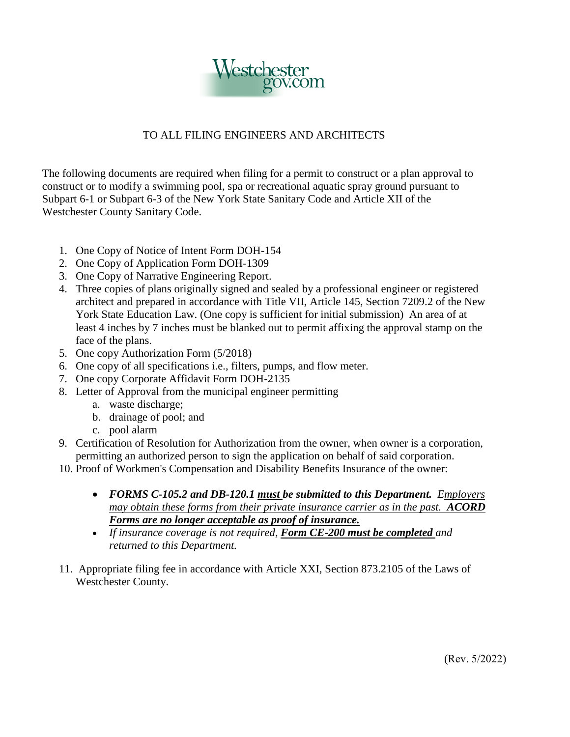

## TO ALL FILING ENGINEERS AND ARCHITECTS

The following documents are required when filing for a permit to construct or a plan approval to construct or to modify a swimming pool, spa or recreational aquatic spray ground pursuant to Subpart 6-1 or Subpart 6-3 of the New York State Sanitary Code and Article XII of the Westchester County Sanitary Code.

- 1. One Copy of Notice of Intent Form DOH-154
- 2. One Copy of Application Form DOH-1309
- 3. One Copy of Narrative Engineering Report.
- 4. Three copies of plans originally signed and sealed by a professional engineer or registered York State Education Law. (One copy is sufficient for initial submission) An area of at architect and prepared in accordance with Title VII, Article 145, Section 7209.2 of the New least 4 inches by 7 inches must be blanked out to permit affixing the approval stamp on the face of the plans.
- 5. One copy Authorization Form (5/2018)
- 6. One copy of all specifications i.e., filters, pumps, and flow meter.
- 7. One copy Corporate Affidavit Form DOH-2135
- 8. Letter of Approval from the municipal engineer permitting
	- a. waste discharge;
	- b. drainage of pool; and
	- c. pool alarm
- 9. Certification of Resolution for Authorization from the owner, when owner is a corporation, permitting an authorized person to sign the application on behalf of said corporation.
- 10. Proof of Workmen's Compensation and Disability Benefits Insurance of the owner:
	- *FORMS C-105.2 and DB-120.1 must be submitted to this Department. Employers may obtain these forms from their private insurance carrier as in the past. ACORD Forms are no longer acceptable as proof of insurance.*
	- *If insurance coverage is not required, Form CE-200 must be completed and returned to this Department.*
- 11. Appropriate filing fee in accordance with Article XXI, Section 873.2105 of the Laws of Westchester County.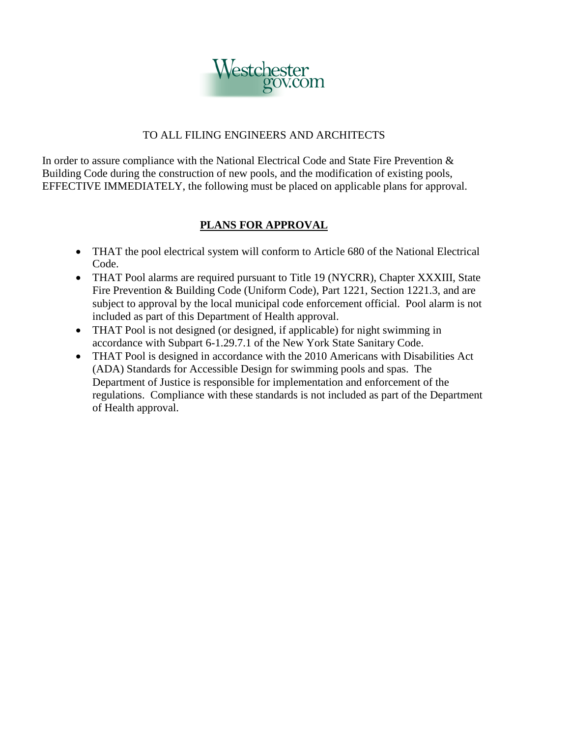

## TO ALL FILING ENGINEERS AND ARCHITECTS

 In order to assure compliance with the National Electrical Code and State Fire Prevention & Building Code during the construction of new pools, and the modification of existing pools, EFFECTIVE IMMEDIATELY, the following must be placed on applicable plans for approval.

## **PLANS FOR APPROVAL**

- THAT the pool electrical system will conform to Article 680 of the National Electrical Code.
- subject to approval by the local municipal code enforcement official. Pool alarm is not • THAT Pool alarms are required pursuant to Title 19 (NYCRR), Chapter XXXIII, State Fire Prevention & Building Code (Uniform Code), Part 1221, Section 1221.3, and are included as part of this Department of Health approval.
- THAT Pool is not designed (or designed, if applicable) for night swimming in accordance with Subpart 6-1.29.7.1 of the New York State Sanitary Code.
- • THAT Pool is designed in accordance with the 2010 Americans with Disabilities Act (ADA) Standards for Accessible Design for swimming pools and spas. The Department of Justice is responsible for implementation and enforcement of the regulations. Compliance with these standards is not included as part of the Department of Health approval.